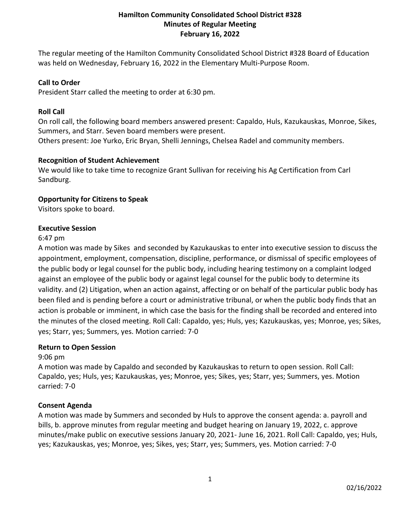# **Hamilton Community Consolidated School District #328 Minutes of Regular Meeting February 16, 2022**

The regular meeting of the Hamilton Community Consolidated School District #328 Board of Education was held on Wednesday, February 16, 2022 in the Elementary Multi-Purpose Room.

### **Call to Order**

President Starr called the meeting to order at 6:30 pm.

### **Roll Call**

On roll call, the following board members answered present: Capaldo, Huls, Kazukauskas, Monroe, Sikes, Summers, and Starr. Seven board members were present.

Others present: Joe Yurko, Eric Bryan, Shelli Jennings, Chelsea Radel and community members.

### **Recognition of Student Achievement**

We would like to take time to recognize Grant Sullivan for receiving his Ag Certification from Carl Sandburg.

### **Opportunity for Citizens to Speak**

Visitors spoke to board.

### **Executive Session**

#### 6:47 pm

A motion was made by Sikes and seconded by Kazukauskas to enter into executive session to discuss the appointment, employment, compensation, discipline, performance, or dismissal of specific employees of the public body or legal counsel for the public body, including hearing testimony on a complaint lodged against an employee of the public body or against legal counsel for the public body to determine its validity. and (2) Litigation, when an action against, affecting or on behalf of the particular public body has been filed and is pending before a court or administrative tribunal, or when the public body finds that an action is probable or imminent, in which case the basis for the finding shall be recorded and entered into the minutes of the closed meeting. Roll Call: Capaldo, yes; Huls, yes; Kazukauskas, yes; Monroe, yes; Sikes, yes; Starr, yes; Summers, yes. Motion carried: 7-0

#### **Return to Open Session**

#### 9:06 pm

A motion was made by Capaldo and seconded by Kazukauskas to return to open session. Roll Call: Capaldo, yes; Huls, yes; Kazukauskas, yes; Monroe, yes; Sikes, yes; Starr, yes; Summers, yes. Motion carried: 7-0

# **Consent Agenda**

A motion was made by Summers and seconded by Huls to approve the consent agenda: a. payroll and bills, b. approve minutes from regular meeting and budget hearing on January 19, 2022, c. approve minutes/make public on executive sessions January 20, 2021- June 16, 2021. Roll Call: Capaldo, yes; Huls, yes; Kazukauskas, yes; Monroe, yes; Sikes, yes; Starr, yes; Summers, yes. Motion carried: 7-0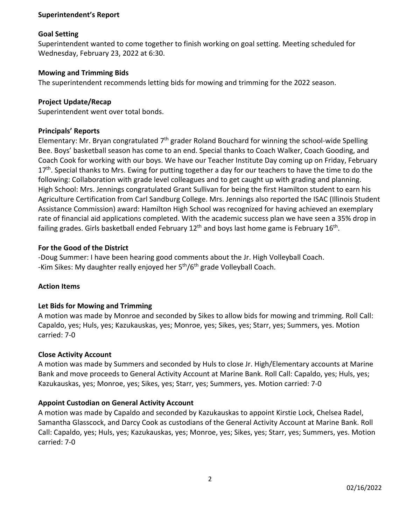# **Superintendent's Report**

### **Goal Setting**

Superintendent wanted to come together to finish working on goal setting. Meeting scheduled for Wednesday, February 23, 2022 at 6:30.

### **Mowing and Trimming Bids**

The superintendent recommends letting bids for mowing and trimming for the 2022 season.

### **Project Update/Recap**

Superintendent went over total bonds.

### **Principals' Reports**

Elementary: Mr. Bryan congratulated  $7<sup>th</sup>$  grader Roland Bouchard for winning the school-wide Spelling Bee. Boys' basketball season has come to an end. Special thanks to Coach Walker, Coach Gooding, and Coach Cook for working with our boys. We have our Teacher Institute Day coming up on Friday, February 17<sup>th</sup>. Special thanks to Mrs. Ewing for putting together a day for our teachers to have the time to do the following: Collaboration with grade level colleagues and to get caught up with grading and planning. High School: Mrs. Jennings congratulated Grant Sullivan for being the first Hamilton student to earn his Agriculture Certification from Carl Sandburg College. Mrs. Jennings also reported the ISAC (Illinois Student Assistance Commission) award: Hamilton High School was recognized for having achieved an exemplary rate of financial aid applications completed. With the academic success plan we have seen a 35% drop in failing grades. Girls basketball ended February  $12<sup>th</sup>$  and boys last home game is February  $16<sup>th</sup>$ .

### **For the Good of the District**

-Doug Summer: I have been hearing good comments about the Jr. High Volleyball Coach. -Kim Sikes: My daughter really enjoyed her 5<sup>th</sup>/6<sup>th</sup> grade Volleyball Coach.

# **Action Items**

# **Let Bids for Mowing and Trimming**

A motion was made by Monroe and seconded by Sikes to allow bids for mowing and trimming. Roll Call: Capaldo, yes; Huls, yes; Kazukauskas, yes; Monroe, yes; Sikes, yes; Starr, yes; Summers, yes. Motion carried: 7-0

#### **Close Activity Account**

A motion was made by Summers and seconded by Huls to close Jr. High/Elementary accounts at Marine Bank and move proceeds to General Activity Account at Marine Bank. Roll Call: Capaldo, yes; Huls, yes; Kazukauskas, yes; Monroe, yes; Sikes, yes; Starr, yes; Summers, yes. Motion carried: 7-0

# **Appoint Custodian on General Activity Account**

A motion was made by Capaldo and seconded by Kazukauskas to appoint Kirstie Lock, Chelsea Radel, Samantha Glasscock, and Darcy Cook as custodians of the General Activity Account at Marine Bank. Roll Call: Capaldo, yes; Huls, yes; Kazukauskas, yes; Monroe, yes; Sikes, yes; Starr, yes; Summers, yes. Motion carried: 7-0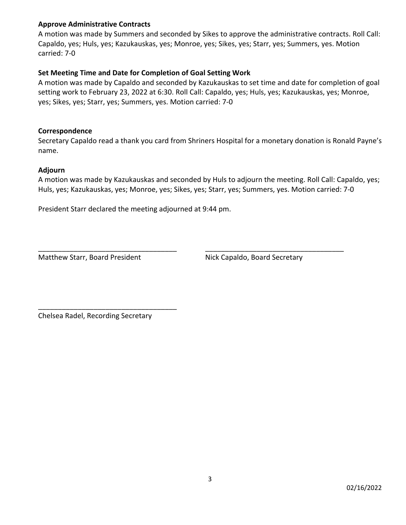# **Approve Administrative Contracts**

A motion was made by Summers and seconded by Sikes to approve the administrative contracts. Roll Call: Capaldo, yes; Huls, yes; Kazukauskas, yes; Monroe, yes; Sikes, yes; Starr, yes; Summers, yes. Motion carried: 7-0

# **Set Meeting Time and Date for Completion of Goal Setting Work**

A motion was made by Capaldo and seconded by Kazukauskas to set time and date for completion of goal setting work to February 23, 2022 at 6:30. Roll Call: Capaldo, yes; Huls, yes; Kazukauskas, yes; Monroe, yes; Sikes, yes; Starr, yes; Summers, yes. Motion carried: 7-0

## **Correspondence**

Secretary Capaldo read a thank you card from Shriners Hospital for a monetary donation is Ronald Payne's name.

# **Adjourn**

A motion was made by Kazukauskas and seconded by Huls to adjourn the meeting. Roll Call: Capaldo, yes; Huls, yes; Kazukauskas, yes; Monroe, yes; Sikes, yes; Starr, yes; Summers, yes. Motion carried: 7-0

\_\_\_\_\_\_\_\_\_\_\_\_\_\_\_\_\_\_\_\_\_\_\_\_\_\_\_\_\_\_\_\_\_\_\_ \_\_\_\_\_\_\_\_\_\_\_\_\_\_\_\_\_\_\_\_\_\_\_\_\_\_\_\_\_\_\_\_\_\_\_

President Starr declared the meeting adjourned at 9:44 pm.

Matthew Starr, Board President Nick Capaldo, Board Secretary

Chelsea Radel, Recording Secretary

\_\_\_\_\_\_\_\_\_\_\_\_\_\_\_\_\_\_\_\_\_\_\_\_\_\_\_\_\_\_\_\_\_\_\_